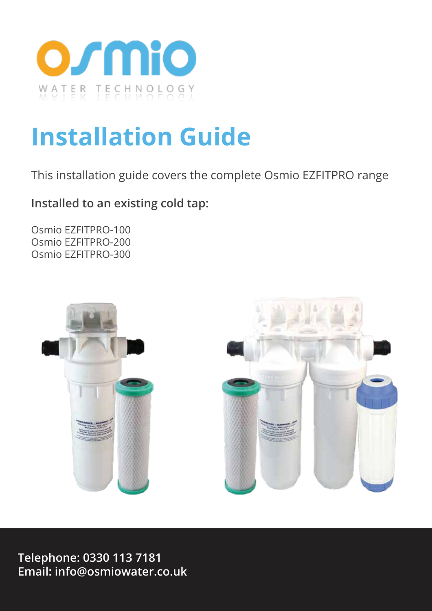

# **Installation Guide**

This installation guide covers the complete Osmio EZFITPRO range

**Installed to an existing cold tap:**

Osmio EZFITPRO-100 Osmio EZFITPRO-200 Osmio EZFITPRO-300



**Telephone: 0330 113 7181 Email: info@osmiowater.co.uk**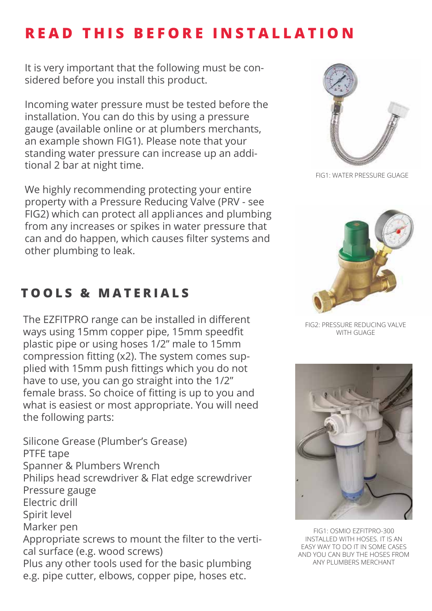# **READ THIS BEFORE INSTALLATION**

It is very important that the following must be considered before you install this product.

Incoming water pressure must be tested before the installation. You can do this by using a pressure gauge (available online or at plumbers merchants, an example shown FIG1). Please note that your standing water pressure can increase up an additional 2 bar at night time.

We highly recommending protecting your entire property with a Pressure Reducing Valve (PRV - see FIG2) which can protect all appliances and plumbing from any increases or spikes in water pressure that can and do happen, which causes filter systems and other plumbing to leak.

# **TOOLS & MATERIALS**

The EZFITPRO range can be installed in different ways using 15mm copper pipe, 15mm speedfit plastic pipe or using hoses 1/2" male to 15mm compression fitting  $(x2)$ . The system comes supplied with 15mm push fittings which you do not have to use, you can go straight into the 1/2" female brass. So choice of fitting is up to you and what is easiest or most appropriate. You will need the following parts:

Silicone Grease (Plumber's Grease) PTFE tape Spanner & Plumbers Wrench Philips head screwdriver & Flat edge screwdriver Pressure gauge Electric drill Spirit level Marker pen Appropriate screws to mount the filter to the vertical surface (e.g. wood screws) Plus any other tools used for the basic plumbing e.g. pipe cutter, elbows, copper pipe, hoses etc.



FIG1: WATER PRESSURE GUAGE



FIG2: PRESSURE REDUCING VALVE WITH GUAGE



FIG1: OSMIO EZFITPRO-300 INSTALLED WITH HOSES. IT IS AN EASY WAY TO DO IT IN SOME CASES AND YOU CAN BUY THE HOSES FROM ANY PLUMBERS MERCHANT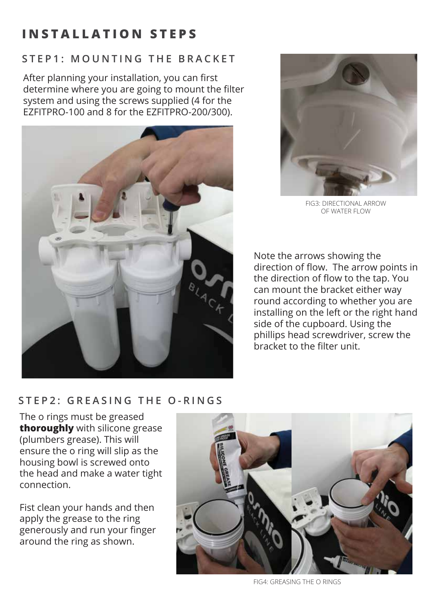# **INSTALLATION STEPS**

# **STEP1: MOUNTING THE BRACKET**

After planning your installation, you can first determine where you are going to mount the filter system and using the screws supplied (4 for the EZFITPRO-100 and 8 for the EZFITPRO-200/300).





FIG3: DIRECTIONAL ARROW OF WATER FLOW

Note the arrows showing the direction of flow. The arrow points in the direction of flow to the tap. You can mount the bracket either way round according to whether you are installing on the left or the right hand side of the cupboard. Using the phillips head screwdriver, screw the bracket to the filter unit

## **STEP2: GREASING THE O-RINGS**

The o rings must be greased **thoroughly** with silicone grease (plumbers grease). This will ensure the o ring will slip as the housing bowl is screwed onto the head and make a water tight connection.

Fist clean your hands and then apply the grease to the ring generously and run your finger around the ring as shown.



FIG4: GREASING THE O RINGS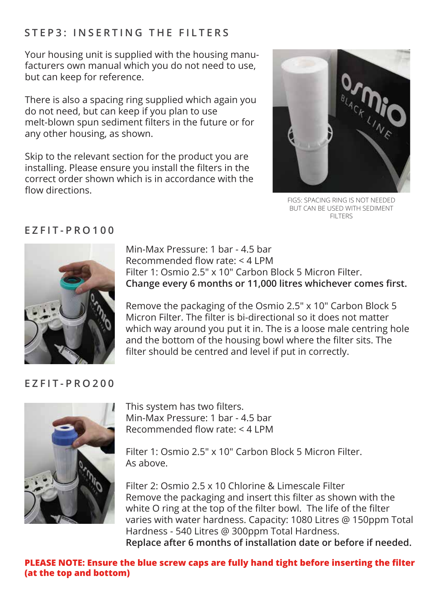# **STEP3: INSERTING THE FILTERS**

Your housing unit is supplied with the housing manufacturers own manual which you do not need to use, but can keep for reference.

There is also a spacing ring supplied which again you do not need, but can keep if you plan to use melt-blown spun sediment filters in the future or for any other housing, as shown.

Skip to the relevant section for the product you are installing. Please ensure you install the filters in the correct order shown which is in accordance with the flow directions



FIG5: SPACING RING IS NOT NEEDED BUT CAN BE USED WITH SEDIMENT **FILTERS** 

## **EZFIT-PRO100**



Min-Max Pressure: 1 bar - 4.5 bar Recommended flow rate:  $<$  4 LPM Filter 1: Osmio 2.5" x 10" Carbon Block 5 Micron Filter. Change every 6 months or 11,000 litres whichever comes first.

Remove the packaging of the Osmio 2.5" x 10" Carbon Block 5 Micron Filter. The filter is bi-directional so it does not matter which way around you put it in. The is a loose male centring hole and the bottom of the housing bowl where the filter sits. The filter should be centred and level if put in correctly.

#### **EZFIT-PRO200**



This system has two filters. Min-Max Pressure: 1 bar - 4.5 bar Recommended flow rate:  $<$  4 I PM

Filter 1: Osmio 2.5" x 10" Carbon Block 5 Micron Filter. As above.

Filter 2: Osmio 2.5 x 10 Chlorine & Limescale Filter Remove the packaging and insert this filter as shown with the white O ring at the top of the filter bowl. The life of the filter varies with water hardness. Capacity: 1080 Litres @ 150ppm Total Hardness - 540 Litres @ 300ppm Total Hardness. **Replace after 6 months of installation date or before if needed.**

**PLEASE NOTE: Ensure the blue screw caps are fully hand tight before inserting the filter (at the top and bottom)**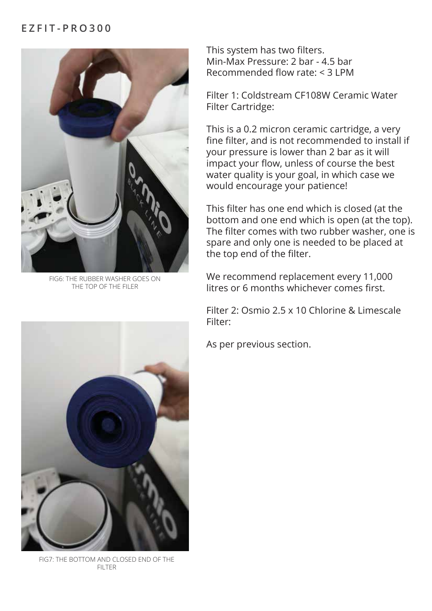#### **EZFIT-PRO300**



FIG6: THE RUBBER WASHER GOES ON THE TOP OF THE FILER

This system has two filters. Min-Max Pressure: 2 bar - 4.5 bar Recommended flow rate:  $<$  3 I PM

Filter 1: Coldstream CF108W Ceramic Water Filter Cartridge:

This is a 0.2 micron ceramic cartridge, a very fine filter, and is not recommended to install if your pressure is lower than 2 bar as it will impact your flow, unless of course the best water quality is your goal, in which case we would encourage your patience!

This filter has one end which is closed (at the bottom and one end which is open (at the top). The filter comes with two rubber washer, one is spare and only one is needed to be placed at the top end of the filter.

We recommend replacement every 11,000 litres or 6 months whichever comes first.

Filter 2: Osmio 2.5 x 10 Chlorine & Limescale Filter:

As per previous section.



FIG7: THE BOTTOM AND CLOSED END OF THE FILTER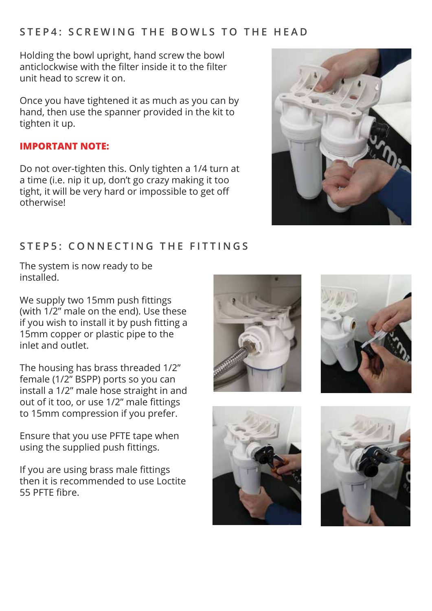#### **STEP4: SCREWING THE BOWLS TO THE HEAD**

Holding the bowl upright, hand screw the bowl anticlockwise with the filter inside it to the filter unit head to screw it on.

Once you have tightened it as much as you can by hand, then use the spanner provided in the kit to tighten it up.

#### **IMPORTANT NOTE:**

Do not over-tighten this. Only tighten a 1/4 turn at a time (i.e. nip it up, don't go crazy making it too tight, it will be very hard or impossible to get off otherwise!



# **STEP5: CONNECTING THE FITTINGS**

The system is now ready to be installed.

We supply two 15mm push fittings (with 1/2" male on the end). Use these if you wish to install it by push fitting a 15mm copper or plastic pipe to the inlet and outlet.

The housing has brass threaded 1/2" female (1/2" BSPP) ports so you can install a 1/2" male hose straight in and out of it too, or use 1/2" male fittings to 15mm compression if you prefer.

Ensure that you use PFTE tape when using the supplied push fittings.

If you are using brass male fittings then it is recommended to use Loctite 55 PFTE fibre.







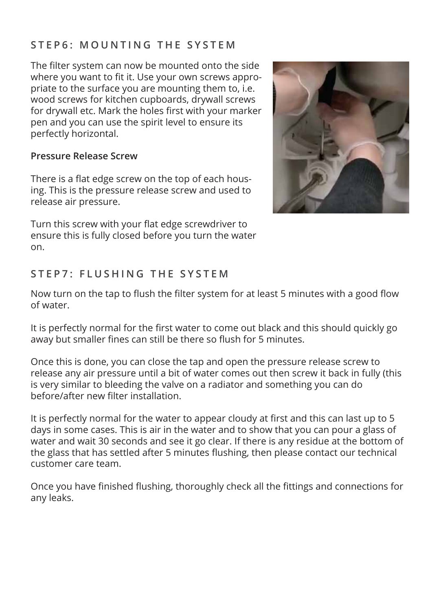# **STEP6: MOUNTING THE SYSTEM**

The filter system can now be mounted onto the side where you want to fit it. Use your own screws appropriate to the surface you are mounting them to, i.e. wood screws for kitchen cupboards, drywall screws for drywall etc. Mark the holes first with your marker pen and you can use the spirit level to ensure its perfectly horizontal.

#### **Pressure Release Screw**

There is a flat edge screw on the top of each housing. This is the pressure release screw and used to release air pressure.

Turn this screw with your flat edge screwdriver to ensure this is fully closed before you turn the water on.



# **STEP7: FLUSHING THE SYSTEM**

Now turn on the tap to flush the filter system for at least 5 minutes with a good flow of water.

It is perfectly normal for the first water to come out black and this should quickly go away but smaller fines can still be there so flush for 5 minutes.

Once this is done, you can close the tap and open the pressure release screw to release any air pressure until a bit of water comes out then screw it back in fully (this is very similar to bleeding the valve on a radiator and something you can do before/after new filter installation.

It is perfectly normal for the water to appear cloudy at first and this can last up to 5 days in some cases. This is air in the water and to show that you can pour a glass of water and wait 30 seconds and see it go clear. If there is any residue at the bottom of the glass that has settled after 5 minutes flushing, then please contact our technical customer care team.

Once you have finished flushing, thoroughly check all the fittings and connections for any leaks.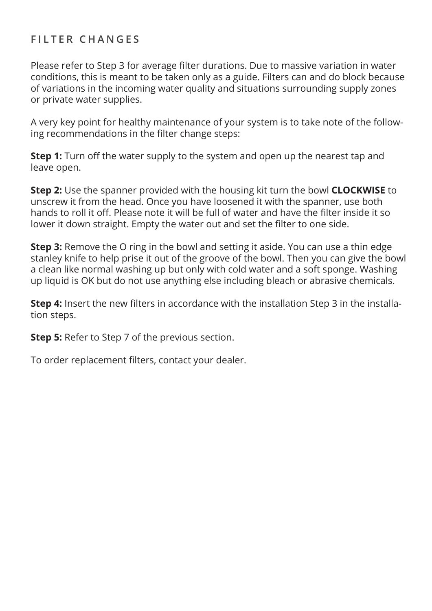# **FILTER CHANGES**

Please refer to Step 3 for average filter durations. Due to massive variation in water conditions, this is meant to be taken only as a guide. Filters can and do block because of variations in the incoming water quality and situations surrounding supply zones or private water supplies.

A very key point for healthy maintenance of your system is to take note of the following recommendations in the filter change steps:

**Step 1:** Turn off the water supply to the system and open up the nearest tap and leave open.

**Step 2:** Use the spanner provided with the housing kit turn the bowl **CLOCKWISE** to unscrew it from the head. Once you have loosened it with the spanner, use both hands to roll it off. Please note it will be full of water and have the filter inside it so lower it down straight. Empty the water out and set the filter to one side.

**Step 3:** Remove the O ring in the bowl and setting it aside. You can use a thin edge stanley knife to help prise it out of the groove of the bowl. Then you can give the bowl a clean like normal washing up but only with cold water and a soft sponge. Washing up liquid is OK but do not use anything else including bleach or abrasive chemicals.

**Step 4:** Insert the new filters in accordance with the installation Step 3 in the installation steps.

**Step 5:** Refer to Step 7 of the previous section.

To order replacement filters, contact your dealer.